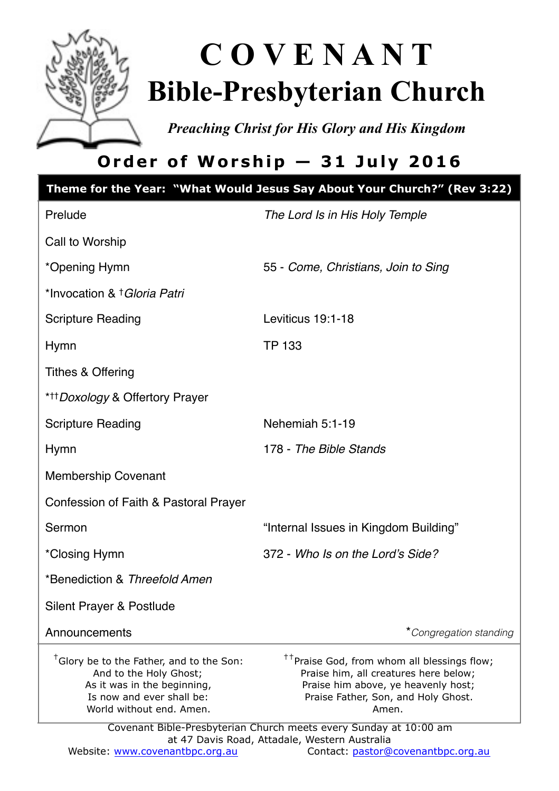

# **C O V E N A N T Bible-Presbyterian Church**

*Preaching Christ for His Glory and His Kingdom* 

# **Order of Worship — 31 July 2016**

| Theme for the Year: "What Would Jesus Say About Your Church?" (Rev 3:22)                                                                                               |                                                                                                                                                                                         |  |
|------------------------------------------------------------------------------------------------------------------------------------------------------------------------|-----------------------------------------------------------------------------------------------------------------------------------------------------------------------------------------|--|
| Prelude                                                                                                                                                                | The Lord Is in His Holy Temple                                                                                                                                                          |  |
| Call to Worship                                                                                                                                                        |                                                                                                                                                                                         |  |
| *Opening Hymn                                                                                                                                                          | 55 - Come, Christians, Join to Sing                                                                                                                                                     |  |
| *Invocation & † Gloria Patri                                                                                                                                           |                                                                                                                                                                                         |  |
| <b>Scripture Reading</b>                                                                                                                                               | Leviticus 19:1-18                                                                                                                                                                       |  |
| Hymn                                                                                                                                                                   | TP 133                                                                                                                                                                                  |  |
| Tithes & Offering                                                                                                                                                      |                                                                                                                                                                                         |  |
| * <sup>††</sup> Doxology & Offertory Prayer                                                                                                                            |                                                                                                                                                                                         |  |
| <b>Scripture Reading</b>                                                                                                                                               | Nehemiah 5:1-19                                                                                                                                                                         |  |
| Hymn                                                                                                                                                                   | 178 - The Bible Stands                                                                                                                                                                  |  |
| Membership Covenant                                                                                                                                                    |                                                                                                                                                                                         |  |
| Confession of Faith & Pastoral Prayer                                                                                                                                  |                                                                                                                                                                                         |  |
| Sermon                                                                                                                                                                 | "Internal Issues in Kingdom Building"                                                                                                                                                   |  |
| *Closing Hymn                                                                                                                                                          | 372 - Who Is on the Lord's Side?                                                                                                                                                        |  |
| *Benediction & Threefold Amen                                                                                                                                          |                                                                                                                                                                                         |  |
| Silent Prayer & Postlude                                                                                                                                               |                                                                                                                                                                                         |  |
| Announcements                                                                                                                                                          | *Congregation standing                                                                                                                                                                  |  |
| <sup>†</sup> Glory be to the Father, and to the Son:<br>And to the Holy Ghost;<br>As it was in the beginning,<br>Is now and ever shall be:<br>World without end. Amen. | <sup>††</sup> Praise God, from whom all blessings flow;<br>Praise him, all creatures here below;<br>Praise him above, ye heavenly host;<br>Praise Father, Son, and Holy Ghost.<br>Amen. |  |
| Covenant Bible-Presbyterian Church meets every Sunday at 10:00 am<br>at 47 Davis Road, Attadale, Western Australia                                                     |                                                                                                                                                                                         |  |
| Website: www.covenantbpc.org.au                                                                                                                                        | Contact: pastor@covenantbpc.org.au                                                                                                                                                      |  |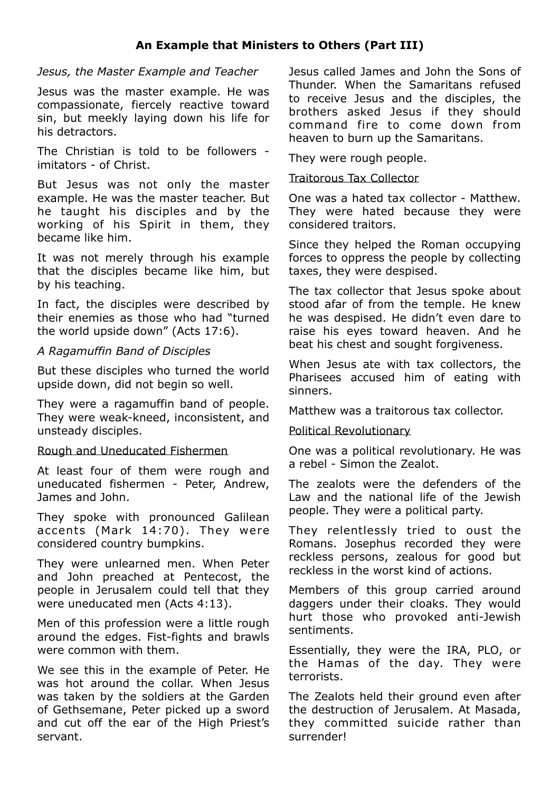#### *Jesus, the Master Example and Teacher*

Jesus was the master example. He was compassionate, fiercely reactive toward sin, but meekly laying down his life for his detractors.

The Christian is told to be followers imitators - of Christ.

But Jesus was not only the master example. He was the master teacher. But he taught his disciples and by the working of his Spirit in them, they became like him.

It was not merely through his example that the disciples became like him, but by his teaching.

In fact, the disciples were described by their enemies as those who had "turned the world upside down" (Acts 17:6).

#### *A Ragamuffin Band of Disciples*

But these disciples who turned the world upside down, did not begin so well.

They were a ragamuffin band of people. They were weak-kneed, inconsistent, and unsteady disciples.

#### Rough and Uneducated Fishermen

At least four of them were rough and uneducated fishermen - Peter, Andrew, James and John.

They spoke with pronounced Galilean accents (Mark 14:70) . They were considered country bumpkins.

They were unlearned men. When Peter and John preached at Pentecost, the people in Jerusalem could tell that they were uneducated men (Acts 4:13).

Men of this profession were a little rough around the edges. Fist-fights and brawls were common with them.

We see this in the example of Peter. He was hot around the collar. When Jesus was taken by the soldiers at the Garden of Gethsemane, Peter picked up a sword and cut off the ear of the High Priest's servant.

Jesus called James and John the Sons of Thunder. When the Samaritans refused to receive Jesus and the disciples, the brothers asked Jesus if they should command fire to come down from heaven to burn up the Samaritans.

They were rough people.

#### Traitorous Tax Collector

One was a hated tax collector - Matthew. They were hated because they were considered traitors.

Since they helped the Roman occupying forces to oppress the people by collecting taxes, they were despised.

The tax collector that Jesus spoke about stood afar of from the temple. He knew he was despised. He didn't even dare to raise his eyes toward heaven. And he beat his chest and sought forgiveness.

When Jesus ate with tax collectors, the Pharisees accused him of eating with sinners.

Matthew was a traitorous tax collector.

#### Political Revolutionary

One was a political revolutionary. He was a rebel - Simon the Zealot.

The zealots were the defenders of the Law and the national life of the Jewish people. They were a political party.

They relentlessly tried to oust the Romans. Josephus recorded they were reckless persons, zealous for good but reckless in the worst kind of actions.

Members of this group carried around daggers under their cloaks. They would hurt those who provoked anti-Jewish sentiments.

Essentially, they were the IRA, PLO, or the Hamas of the day. They were terrorists.

The Zealots held their ground even after the destruction of Jerusalem. At Masada, they committed suicide rather than surrender!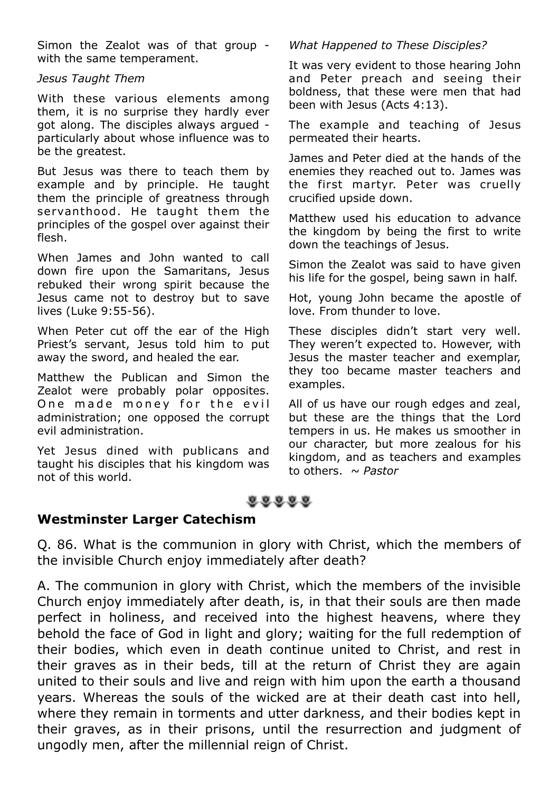Simon the Zealot was of that group with the same temperament.

#### *Jesus Taught Them*

With these various elements among them, it is no surprise they hardly ever got along. The disciples always argued particularly about whose influence was to be the greatest.

But Jesus was there to teach them by example and by principle. He taught them the principle of greatness through servanthood. He taught them the principles of the gospel over against their flesh.

When James and John wanted to call down fire upon the Samaritans, Jesus rebuked their wrong spirit because the Jesus came not to destroy but to save lives (Luke 9:55-56).

When Peter cut off the ear of the High Priest's servant, Jesus told him to put away the sword, and healed the ear.

Matthew the Publican and Simon the Zealot were probably polar opposites. One made money for the evil administration; one opposed the corrupt evil administration.

Yet Jesus dined with publicans and taught his disciples that his kingdom was not of this world.

#### *What Happened to These Disciples?*

It was very evident to those hearing John and Peter preach and seeing their boldness, that these were men that had been with Jesus (Acts 4:13).

The example and teaching of Jesus permeated their hearts.

James and Peter died at the hands of the enemies they reached out to. James was the first martyr. Peter was cruelly crucified upside down.

Matthew used his education to advance the kingdom by being the first to write down the teachings of Jesus.

Simon the Zealot was said to have given his life for the gospel, being sawn in half.

Hot, young John became the apostle of love. From thunder to love.

These disciples didn't start very well. They weren't expected to. However, with Jesus the master teacher and exemplar, they too became master teachers and examples.

All of us have our rough edges and zeal, but these are the things that the Lord tempers in us. He makes us smoother in our character, but more zealous for his kingdom, and as teachers and examples to others. *~ Pastor*

## $0.0.0.0.0$

#### **Westminster Larger Catechism**

Q. 86. What is the communion in glory with Christ, which the members of the invisible Church enjoy immediately after death?

A. The communion in glory with Christ, which the members of the invisible Church enjoy immediately after death, is, in that their souls are then made perfect in holiness, and received into the highest heavens, where they behold the face of God in light and glory; waiting for the full redemption of their bodies, which even in death continue united to Christ, and rest in their graves as in their beds, till at the return of Christ they are again united to their souls and live and reign with him upon the earth a thousand years. Whereas the souls of the wicked are at their death cast into hell, where they remain in torments and utter darkness, and their bodies kept in their graves, as in their prisons, until the resurrection and judgment of ungodly men, after the millennial reign of Christ.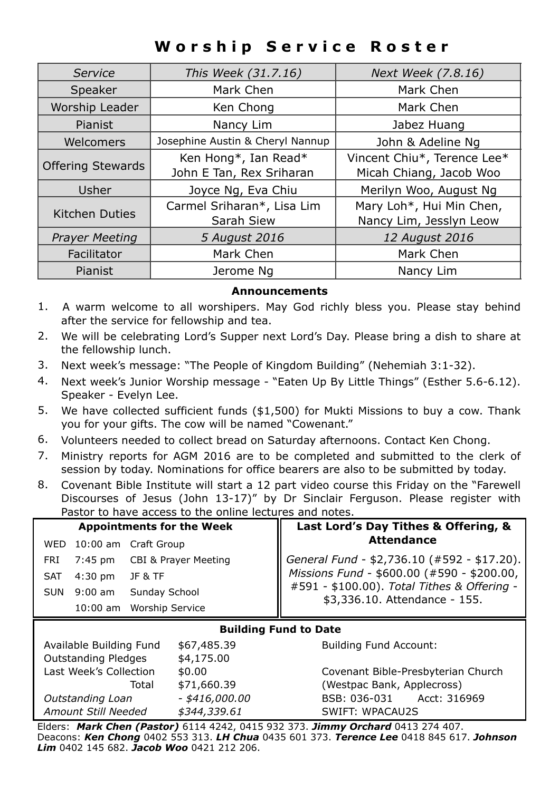# **Worship Service Roster**

| Service                  | This Week (31.7.16)              | Next Week (7.8.16)          |
|--------------------------|----------------------------------|-----------------------------|
| Speaker                  | Mark Chen                        | Mark Chen                   |
| Worship Leader           | Ken Chong                        | Mark Chen                   |
| Pianist                  | Nancy Lim                        | Jabez Huang                 |
| Welcomers                | Josephine Austin & Cheryl Nannup | John & Adeline Ng           |
| <b>Offering Stewards</b> | Ken Hong*, Ian Read*             | Vincent Chiu*, Terence Lee* |
|                          | John E Tan, Rex Sriharan         | Micah Chiang, Jacob Woo     |
| Usher                    | Joyce Ng, Eva Chiu               | Merilyn Woo, August Ng      |
| <b>Kitchen Duties</b>    | Carmel Sriharan*, Lisa Lim       | Mary Loh*, Hui Min Chen,    |
|                          | Sarah Siew                       | Nancy Lim, Jesslyn Leow     |
| <b>Prayer Meeting</b>    | 5 August 2016                    | 12 August 2016              |
| Facilitator              | Mark Chen                        | Mark Chen                   |
| Pianist                  | Jerome Na                        | Nancy Lim                   |

#### **Announcements**

- 1. A warm welcome to all worshipers. May God richly bless you. Please stay behind after the service for fellowship and tea.
- 2. We will be celebrating Lord's Supper next Lord's Day. Please bring a dish to share at the fellowship lunch.
- 3. Next week's message: "The People of Kingdom Building" (Nehemiah 3:1-32).
- 4. Next week's Junior Worship message "Eaten Up By Little Things" (Esther 5.6-6.12). Speaker - Evelyn Lee.
- 5. We have collected sufficient funds (\$1,500) for Mukti Missions to buy a cow. Thank you for your gifts. The cow will be named "Cowenant."
- 6. Volunteers needed to collect bread on Saturday afternoons. Contact Ken Chong.
- 7. Ministry reports for AGM 2016 are to be completed and submitted to the clerk of session by today. Nominations for office bearers are also to be submitted by today.
- 8. Covenant Bible Institute will start a 12 part video course this Friday on the "Farewell Discourses of Jesus (John 13-17)" by Dr Sinclair Ferguson. Please register with Pastor to have access to the online lectures and notes.

| <b>Appointments for the Week</b>                                                                                                                                                                                                                                                                                                               | Last Lord's Day Tithes & Offering, &                                                                           |  |  |
|------------------------------------------------------------------------------------------------------------------------------------------------------------------------------------------------------------------------------------------------------------------------------------------------------------------------------------------------|----------------------------------------------------------------------------------------------------------------|--|--|
| WED 10:00 am Craft Group                                                                                                                                                                                                                                                                                                                       | <b>Attendance</b>                                                                                              |  |  |
| <b>CBI &amp; Prayer Meeting</b><br>$7:45$ pm<br>FRI                                                                                                                                                                                                                                                                                            | General Fund - \$2,736.10 (#592 - \$17.20).                                                                    |  |  |
| $4:30$ pm<br>JF & TF<br>SAT                                                                                                                                                                                                                                                                                                                    | Missions Fund - \$600.00 (#590 - \$200.00,                                                                     |  |  |
| Sunday School<br>$9:00$ am<br><b>SUN</b>                                                                                                                                                                                                                                                                                                       | #591 - \$100.00). Total Tithes & Offering -<br>\$3,336.10. Attendance - 155.                                   |  |  |
| 10:00 am Worship Service                                                                                                                                                                                                                                                                                                                       |                                                                                                                |  |  |
| <b>Building Fund to Date</b>                                                                                                                                                                                                                                                                                                                   |                                                                                                                |  |  |
| Available Building Fund<br>\$67,485.39                                                                                                                                                                                                                                                                                                         | <b>Building Fund Account:</b>                                                                                  |  |  |
| <b>Outstanding Pledges</b><br>\$4,175.00<br>$\mathbf{I}$ . The set of $\mathbf{I}$ and $\mathbf{I}$ and $\mathbf{I}$ and $\mathbf{I}$ and $\mathbf{I}$ and $\mathbf{I}$ and $\mathbf{I}$ and $\mathbf{I}$ and $\mathbf{I}$ and $\mathbf{I}$ and $\mathbf{I}$ and $\mathbf{I}$ and $\mathbf{I}$ and $\mathbf{I}$ and $\mathbf{I}$ and $\mathbf$ | A considered to the state of the state of the state of the state of the state of the state of the state of the |  |  |
| $\lambda$ $\sim$ $\sim$                                                                                                                                                                                                                                                                                                                        |                                                                                                                |  |  |

Last Week's Collection \$0.00 Covenant Bible-Presbyterian Church Total \$71,660.39 (Westpac Bank, Applecross) *Outstanding Loan - \$416,000.00* BSB: 036-031 Acct: 316969 *Amount Still Needed \$344,339.61* SWIFT: WPACAU2S

Elders: *Mark Chen (Pastor)* 6114 4242, 0415 932 373. *Jimmy Orchard* 0413 274 407. Deacons: *Ken Chong* 0402 553 313. *LH Chua* 0435 601 373. *Terence Lee* 0418 845 617. *Johnson Lim* 0402 145 682. *Jacob Woo* 0421 212 206.